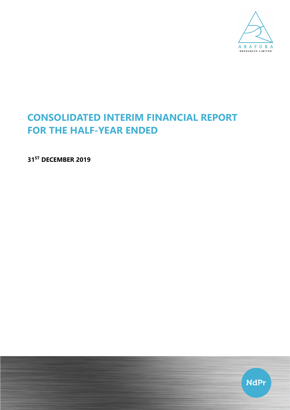

# CONSOLIDATED INTERIM FINANCIAL REPORT FOR THE HALF-YEAR ENDED

31<sup>ST</sup> DECEMBER 2019

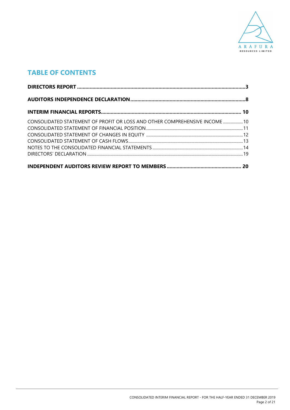

# TABLE OF CONTENTS

| CONSOLIDATED STATEMENT OF PROFIT OR LOSS AND OTHER COMPREHENSIVE INCOME  10 |  |
|-----------------------------------------------------------------------------|--|
|                                                                             |  |
|                                                                             |  |
|                                                                             |  |
|                                                                             |  |
|                                                                             |  |
|                                                                             |  |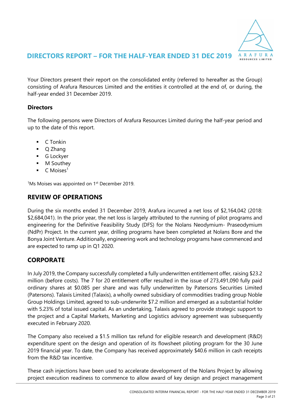

### DIRECTORS REPORT – FOR THE HALF-YEAR ENDED 31 DEC 2019

Your Directors present their report on the consolidated entity (referred to hereafter as the Group) consisting of Arafura Resources Limited and the entities it controlled at the end of, or during, the half-year ended 31 December 2019.

### **Directors**

The following persons were Directors of Arafura Resources Limited during the half-year period and up to the date of this report.

- $\blacksquare$  C Tonkin
- O Zhang
- **G** Lockyer
- **M** Southev
- $\blacksquare$  C Moises<sup>1</sup>

 $1$ Ms Moises was appointed on  $1<sup>st</sup>$  December 2019.

## REVIEW OF OPERATIONS

During the six months ended 31 December 2019, Arafura incurred a net loss of \$2,164,042 (2018: \$2,684,041). In the prior year, the net loss is largely attributed to the running of pilot programs and engineering for the Definitive Feasibility Study (DFS) for the Nolans Neodymium- Praseodymium (NdPr) Project. In the current year, drilling programs have been completed at Nolans Bore and the Bonya Joint Venture. Additionally, engineering work and technology programs have commenced and are expected to ramp up in Q1 2020.

### **CORPORATE**

In July 2019, the Company successfully completed a fully underwritten entitlement offer, raising \$23.2 million (before costs). The 7 for 20 entitlement offer resulted in the issue of 273,491,090 fully paid ordinary shares at \$0.085 per share and was fully underwritten by Patersons Securities Limited (Patersons). Talaxis Limited (Talaxis), a wholly owned subsidiary of commodities trading group Noble Group Holdings Limited, agreed to sub-underwrite \$7.2 million and emerged as a substantial holder with 5.23% of total issued capital. As an undertaking, Talaxis agreed to provide strategic support to the project and a Capital Markets, Marketing and Logistics advisory agreement was subsequently executed in February 2020.

The Company also received a \$1.5 million tax refund for eligible research and development (R&D) expenditure spent on the design and operation of its flowsheet piloting program for the 30 June 2019 financial year. To date, the Company has received approximately \$40.6 million in cash receipts from the R&D tax incentive.

These cash injections have been used to accelerate development of the Nolans Project by allowing project execution readiness to commence to allow award of key design and project management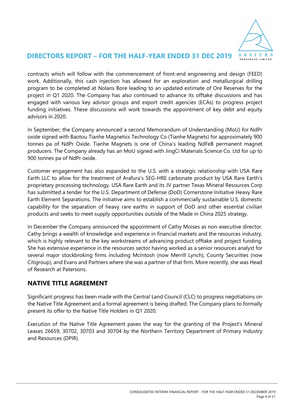

### DIRECTORS REPORT – FOR THE HALF-YEAR ENDED 31 DEC 2019

contracts which will follow with the commencement of front-end engineering and design (FEED) work. Additionally, this cash injection has allowed for an exploration and metallurgical drilling program to be completed at Nolans Bore leading to an updated estimate of Ore Reserves for the project in Q1 2020. The Company has also continued to advance its offtake discussions and has engaged with various key advisor groups and export credit agencies (ECAs) to progress project funding initiatives. These discussions will work towards the appointment of key debt and equity advisors in 2020.

In September, the Company announced a second Memorandum of Understanding (MoU) for NdPr oxide signed with Baotou Tianhe Magnetics Technology Co (Tianhe Magnets) for approximately 900 tonnes pa of NdPr Oxide. Tianhe Magnets is one of China's leading NdFeB permanent magnet producers. The Company already has an MoU signed with JingCi Materials Science Co. Ltd for up to 900 tonnes pa of NdPr oxide.

Customer engagement has also expanded to the U.S. with a strategic relationship with USA Rare Earth LLC to allow for the treatment of Arafura's SEG-HRE carbonate product by USA Rare Earth's proprietary processing technology. USA Rare Earth and its JV partner Texas Mineral Resources Corp has submitted a tender for the U.S. Department of Defense (DoD) Cornerstone Initiative Heavy Rare Earth Element Separations. The initiative aims to establish a commercially sustainable U.S. domestic capability for the separation of heavy rare earths in support of DoD and other essential civilian products and seeks to meet supply opportunities outside of the Made in China 2025 strategy.

In December the Company announced the appointment of Cathy Moises as non-executive director. Cathy brings a wealth of knowledge and experience in financial markets and the resources industry, which is highly relevant to the key workstreams of advancing product offtake and project funding. She has extensive experience in the resources sector having worked as a senior resources analyst for several major stockbroking firms including McIntosh (now Merrill Lynch), County Securities (now Citigroup), and Evans and Partners where she was a partner of that firm. More recently, she was Head of Research at Patersons.

### NATIVE TITLE AGREEMENT

Significant progress has been made with the Central Land Council (CLC) to progress negotiations on the Native Title Agreement and a formal agreement is being drafted. The Company plans to formally present its offer to the Native Title Holders in Q1 2020.

Execution of the Native Title Agreement paves the way for the granting of the Project's Mineral Leases 26659, 30702, 30703 and 30704 by the Northern Territory Department of Primary Industry and Resources (DPIR).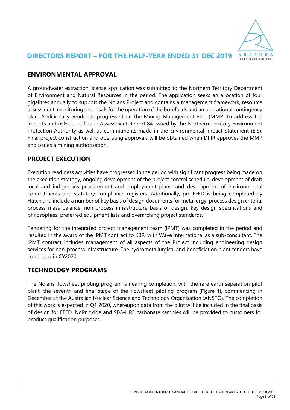

# ENVIRONMENTAL APPROVAL

A groundwater extraction license application was submitted to the Northern Territory Department of Environment and Natural Resources in the period. The application seeks an allocation of four gigalitres annually to support the Nolans Project and contains a management framework, resource assessment, monitoring proposals for the operation of the borefields and an operational contingency plan. Additionally, work has progressed on the Mining Management Plan (MMP) to address the impacts and risks identified in Assessment Report 84 issued by the Northern Territory Environment Protection Authority as well as commitments made in the Environmental Impact Statement (EIS). Final project construction and operating approvals will be obtained when DPIR approves the MMP and issues a mining authorisation.

# PROJECT EXECUTION

Execution readiness activities have progressed in the period with significant progress being made on the execution strategy, ongoing development of the project control schedule, development of draft local and indigenous procurement and employment plans, and development of environmental commitments and statutory compliance registers. Additionally, pre-FEED is being completed by Hatch and include a number of key basis of design documents for metallurgy, process design criteria, process mass balance, non-process infrastructure basis of design, key design specifications and philosophies, preferred equipment lists and overarching project standards.

Tendering for the integrated project management team (IPMT) was completed in the period and resulted in the award of the IPMT contract to KBR, with Wave International as a sub-consultant. The IPMT contract includes management of all aspects of the Project including engineering design services for non-process infrastructure. The hydrometallurgical and beneficiation plant tenders have continued in CY2020.

# TECHNOLOGY PROGRAMS

The Nolans flowsheet piloting program is nearing completion, with the rare earth separation pilot plant, the seventh and final stage of the flowsheet piloting program (Figure 1), commencing in December at the Australian Nuclear Science and Technology Organisation (ANSTO). The completion of this work is expected in Q1 2020, whereupon data from the pilot will be included in the final basis of design for FEED. NdPr oxide and SEG-HRE carbonate samples will be provided to customers for product qualification purposes.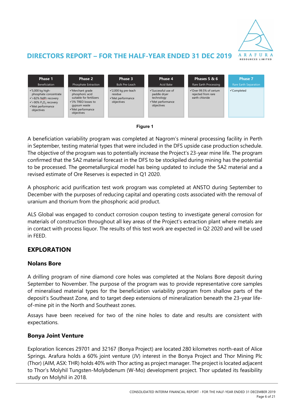

# DIRECTORS REPORT – FOR THE HALF-YEAR ENDED 31 DEC 2019





A beneficiation variability program was completed at Nagrom's mineral processing facility in Perth in September, testing material types that were included in the DFS upside case production schedule. The objective of the program was to potentially increase the Project's 23-year mine life. The program confirmed that the 5A2 material forecast in the DFS to be stockpiled during mining has the potential to be processed. The geometallurgical model has being updated to include the 5A2 material and a revised estimate of Ore Reserves is expected in Q1 2020.

A phosphoric acid purification test work program was completed at ANSTO during September to December with the purposes of reducing capital and operating costs associated with the removal of uranium and thorium from the phosphoric acid product.

ALS Global was engaged to conduct corrosion coupon testing to investigate general corrosion for materials of construction throughout all key areas of the Project's extraction plant where metals are in contact with process liquor. The results of this test work are expected in Q2 2020 and will be used in FEED.

# EXPLORATION

### Nolans Bore

A drilling program of nine diamond core holes was completed at the Nolans Bore deposit during September to November. The purpose of the program was to provide representative core samples of mineralised material types for the beneficiation variability program from shallow parts of the deposit's Southeast Zone, and to target deep extensions of mineralization beneath the 23-year lifeof-mine pit in the North and Southeast zones.

Assays have been received for two of the nine holes to date and results are consistent with expectations.

### Bonya Joint Venture

Exploration licences 29701 and 32167 (Bonya Project) are located 280 kilometres north-east of Alice Springs. Arafura holds a 60% joint venture (JV) interest in the Bonya Project and Thor Mining Plc (Thor) (AIM, ASX: THR) holds 40% with Thor acting as project manager. The project is located adjacent to Thor's Molyhil Tungsten-Molybdenum (W-Mo) development project. Thor updated its feasibility study on Molyhil in 2018.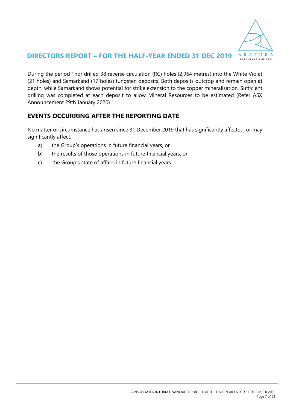

## DIRECTORS REPORT – FOR THE HALF-YEAR ENDED 31 DEC 2019

During the period Thor drilled 38 reverse circulation (RC) holes (2,964 metres) into the White Violet (21 holes) and Samarkand (17 holes) tungsten deposits. Both deposits outcrop and remain open at depth, while Samarkand shows potential for strike extension to the copper mineralisation. Sufficient drilling was completed at each deposit to allow Mineral Resources to be estimated (Refer ASX Announcement 29th January 2020).

# EVENTS OCCURRING AFTER THE REPORTING DATE

No matter or circumstance has arisen since 31 December 2019 that has significantly affected, or may significantly affect:

- a) the Group's operations in future financial years, or
- b) the results of those operations in future financial years, or
- c) the Group's state of affairs in future financial years.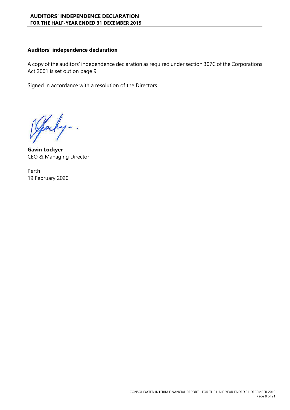#### Auditors' independence declaration

A copy of the auditors' independence declaration as required under section 307C of the Corporations Act 2001 is set out on page 9.

Signed in accordance with a resolution of the Directors.

Jocky.

Gavin Lockyer CEO & Managing Director

Perth 19 February 2020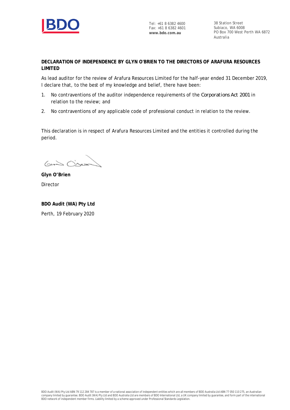

Tel: +61 8 6382 4600 Fax: +61 8 6382 4601 **www.bdo.com.au**

38 Station Street Subiaco, WA 6008 PO Box 700 West Perth WA 6872 Australia

**DECLARATION OF INDEPENDENCE BY GLYN O'BRIEN TO THE DIRECTORS OF ARAFURA RESOURCES LIMITED**

As lead auditor for the review of Arafura Resources Limited for the half-year ended 31 December 2019, I declare that, to the best of my knowledge and belief, there have been:

- 1. No contraventions of the auditor independence requirements of the *Corporations Act 2001* in relation to the review; and
- 2. No contraventions of any applicable code of professional conduct in relation to the review.

This declaration is in respect of Arafura Resources Limited and the entities it controlled during the period.

 $G_{42}$ 

**Glyn O'Brien** Director

**BDO Audit (WA) Pty Ltd** Perth, 19 February 2020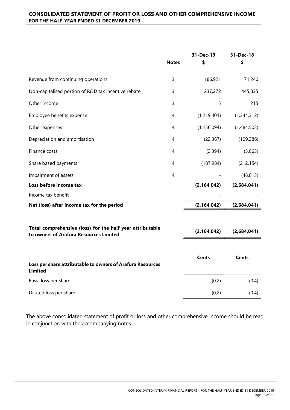|                                                                                                     | <b>Notes</b> | 31-Dec-19<br>\$ | 31-Dec-18<br>\$ |
|-----------------------------------------------------------------------------------------------------|--------------|-----------------|-----------------|
| Revenue from continuing operations                                                                  | 3            | 186,921         | 71,240          |
| Non-capitalised portion of R&D tax incentive rebate                                                 | 3            | 237,272         | 445,835         |
| Other income                                                                                        | 3            | 5               | 215             |
| Employee benefits expense                                                                           | 4            | (1, 219, 401)   | (1,344,312)     |
| Other expenses                                                                                      | 4            | (1, 156, 094)   | (1,484,503)     |
| Depreciation and amortisation                                                                       | 4            | (22, 367)       | (109, 286)      |
| Finance costs                                                                                       | 4            | (2, 394)        | (3,063)         |
| Share based payments                                                                                | 4            | (187, 984)      | (212, 154)      |
| Impairment of assets                                                                                | 4            |                 | (48, 013)       |
| Loss before income tax                                                                              |              | (2, 164, 042)   | (2,684,041)     |
| Income tax benefit                                                                                  |              |                 |                 |
| Net (loss) after income tax for the period                                                          |              | (2, 164, 042)   | (2,684,041)     |
| Total comprehensive (loss) for the half year attributable<br>to owners of Arafura Resources Limited |              | (2, 164, 042)   | (2,684,041)     |
| Loss per share attributable to owners of Arafura Resources<br><b>Limited</b>                        |              | <b>Cents</b>    | <b>Cents</b>    |
| Basic loss per share                                                                                |              | (0.2)           | (0.4)           |
| Diluted loss per share                                                                              |              | (0.2)           | (0.4)           |

The above consolidated statement of profit or loss and other comprehensive income should be read in conjunction with the accompanying notes.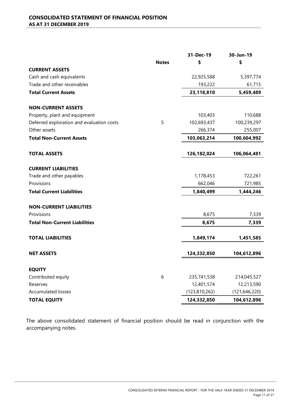|                                           |              | 31-Dec-19       | 30-Jun-19       |
|-------------------------------------------|--------------|-----------------|-----------------|
|                                           | <b>Notes</b> | \$              | \$              |
| <b>CURRENT ASSETS</b>                     |              |                 |                 |
| Cash and cash equivalents                 |              | 22,925,588      | 5,397,774       |
| Trade and other receivables               |              | 193,222         | 61,715          |
| <b>Total Current Assets</b>               |              | 23,118,810      | 5,459,489       |
| <b>NON-CURRENT ASSETS</b>                 |              |                 |                 |
| Property, plant and equipment             |              | 103,403         | 110,688         |
| Deferred exploration and evaluation costs | 5            | 102,693,437     | 100,239,297     |
| Other assets                              |              | 266,374         | 255,007         |
| <b>Total Non-Current Assets</b>           |              | 103,063,214     | 100,604,992     |
| <b>TOTAL ASSETS</b>                       |              | 126, 182, 024   | 106,064,481     |
| <b>CURRENT LIABILITIES</b>                |              |                 |                 |
| Trade and other payables                  |              | 1,178,453       | 722,261         |
| Provisions                                |              | 662,046         | 721,985         |
| <b>Total Current Liabilities</b>          |              | 1,840,499       | 1,444,246       |
| <b>NON-CURRENT LIABILITIES</b>            |              |                 |                 |
| Provisions                                |              | 8,675           | 7,339           |
| <b>Total Non-Current Liabilities</b>      |              | 8,675           | 7,339           |
| <b>TOTAL LIABILITIES</b>                  |              | 1,849,174       | 1,451,585       |
| <b>NET ASSETS</b>                         |              | 124,332,850     | 104,612,896     |
| <b>EQUITY</b>                             |              |                 |                 |
| Contributed equity                        | 6            | 235,741,538     | 214,045,527     |
| Reserves                                  |              | 12,401,574      | 12,213,590      |
| <b>Accumulated losses</b>                 |              | (123, 810, 262) | (121, 646, 220) |
| <b>TOTAL EQUITY</b>                       |              | 124,332,850     | 104,612,896     |

The above consolidated statement of financial position should be read in conjunction with the accompanying notes.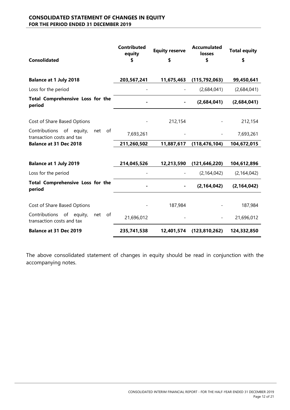#### CONSOLIDATED STATEMENT OF CHANGES IN EQUITY FOR THE PERIOD ENDED 31 DECEMBER 2019

| <b>Consolidated</b>                                                | <b>Contributed</b><br>equity<br>\$ | <b>Equity reserve</b><br>\$ | <b>Accumulated</b><br>losses<br>\$ | <b>Total equity</b><br>\$ |
|--------------------------------------------------------------------|------------------------------------|-----------------------------|------------------------------------|---------------------------|
| <b>Balance at 1 July 2018</b>                                      | 203,567,241                        | 11,675,463                  | (115, 792, 063)                    | 99,450,641                |
| Loss for the period                                                |                                    |                             | (2,684,041)                        | (2,684,041)               |
| Total Comprehensive Loss for the<br>period                         |                                    |                             | (2,684,041)                        | (2,684,041)               |
| Cost of Share Based Options                                        |                                    | 212,154                     |                                    | 212,154                   |
| Contributions of equity,<br>net of<br>transaction costs and tax    | 7,693,261                          |                             |                                    | 7,693,261                 |
| <b>Balance at 31 Dec 2018</b>                                      | 211,260,502                        | 11,887,617                  | (118, 476, 104)                    | 104,672,015               |
|                                                                    |                                    |                             |                                    |                           |
| <b>Balance at 1 July 2019</b>                                      | 214,045,526                        | 12,213,590                  | (121, 646, 220)                    | 104,612,896               |
| Loss for the period                                                |                                    |                             | (2, 164, 042)                      | (2, 164, 042)             |
| Total Comprehensive Loss for the<br>period                         |                                    |                             | (2, 164, 042)                      | (2, 164, 042)             |
| Cost of Share Based Options                                        |                                    | 187,984                     |                                    | 187,984                   |
| Contributions of equity,<br>net<br>of<br>transaction costs and tax | 21,696,012                         |                             |                                    | 21,696,012                |
| <b>Balance at 31 Dec 2019</b>                                      | 235,741,538                        | 12,401,574                  | (123, 810, 262)                    | 124,332,850               |

The above consolidated statement of changes in equity should be read in conjunction with the accompanying notes.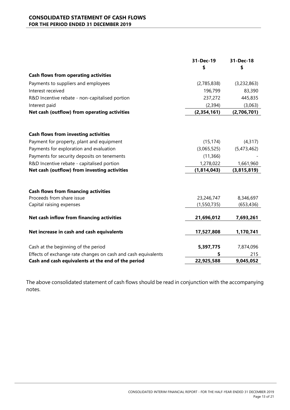#### CONSOLIDATED STATEMENT OF CASH FLOWS FOR THE PERIOD ENDED 31 DECEMBER 2019

|                                                               | 31-Dec-19   | 31-Dec-18   |
|---------------------------------------------------------------|-------------|-------------|
|                                                               | \$          | \$          |
| <b>Cash flows from operating activities</b>                   |             |             |
| Payments to suppliers and employees                           | (2,785,838) | (3,232,863) |
| Interest received                                             | 196,799     | 83,390      |
| R&D Incentive rebate - non-capitalised portion                | 237,272     | 445,835     |
| Interest paid                                                 | (2, 394)    | (3,063)     |
| Net cash (outflow) from operating activities                  | (2,354,161) | (2,706,701) |
|                                                               |             |             |
| <b>Cash flows from investing activities</b>                   |             |             |
| Payment for property, plant and equipment                     | (15, 174)   | (4, 317)    |
| Payments for exploration and evaluation                       | (3,065,525) | (5,473,462) |
| Payments for security deposits on tenements                   | (11, 366)   |             |
| R&D Incentive rebate - capitalised portion                    | 1,278,022   | 1,661,960   |
| Net cash (outflow) from investing activities                  | (1,814,043) | (3,815,819) |
|                                                               |             |             |
| <b>Cash flows from financing activities</b>                   |             |             |
| Proceeds from share issue                                     | 23,246,747  | 8,346,697   |
| Capital raising expenses                                      | (1,550,735) | (653, 436)  |
| Net cash inflow from financing activities                     | 21,696,012  | 7,693,261   |
| Net increase in cash and cash equivalents                     | 17,527,808  | 1,170,741   |
|                                                               |             |             |
| Cash at the beginning of the period                           | 5,397,775   | 7,874,096   |
| Effects of exchange rate changes on cash and cash equivalents | 5           | 215         |
| Cash and cash equivalents at the end of the period            | 22,925,588  | 9,045,052   |

The above consolidated statement of cash flows should be read in conjunction with the accompanying notes.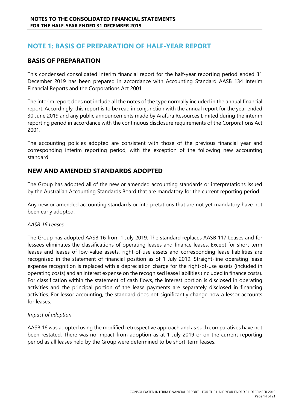# NOTE 1: BASIS OF PREPARATION OF HALF-YEAR REPORT

### BASIS OF PREPARATION

This condensed consolidated interim financial report for the half-year reporting period ended 31 December 2019 has been prepared in accordance with Accounting Standard AASB 134 Interim Financial Reports and the Corporations Act 2001.

The interim report does not include all the notes of the type normally included in the annual financial report. Accordingly, this report is to be read in conjunction with the annual report for the year ended 30 June 2019 and any public announcements made by Arafura Resources Limited during the interim reporting period in accordance with the continuous disclosure requirements of the Corporations Act 2001.

The accounting policies adopted are consistent with those of the previous financial year and corresponding interim reporting period, with the exception of the following new accounting standard.

### NEW AND AMENDED STANDARDS ADOPTED

The Group has adopted all of the new or amended accounting standards or interpretations issued by the Australian Accounting Standards Board that are mandatory for the current reporting period.

Any new or amended accounting standards or interpretations that are not yet mandatory have not been early adopted.

#### AASB 16 Leases

The Group has adopted AASB 16 from 1 July 2019. The standard replaces AASB 117 Leases and for lessees eliminates the classifications of operating leases and finance leases. Except for short-term leases and leases of low-value assets, right-of-use assets and corresponding lease liabilities are recognised in the statement of financial position as of 1 July 2019. Straight-line operating lease expense recognition is replaced with a depreciation charge for the right-of-use assets (included in operating costs) and an interest expense on the recognised lease liabilities (included in finance costs). For classification within the statement of cash flows, the interest portion is disclosed in operating activities and the principal portion of the lease payments are separately disclosed in financing activities. For lessor accounting, the standard does not significantly change how a lessor accounts for leases.

#### Impact of adoption

AASB 16 was adopted using the modified retrospective approach and as such comparatives have not been restated. There was no impact from adoption as at 1 July 2019 or on the current reporting period as all leases held by the Group were determined to be short-term leases.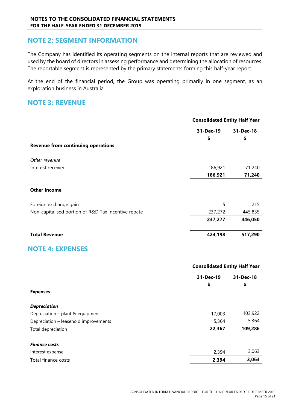### NOTE 2: SEGMENT INFORMATION

The Company has identified its operating segments on the internal reports that are reviewed and used by the board of directors in assessing performance and determining the allocation of resources. The reportable segment is represented by the primary statements forming this half-year report.

At the end of the financial period, the Group was operating primarily in one segment, as an exploration business in Australia.

### NOTE 3: REVENUE

|                                                     | <b>Consolidated Entity Half Year</b> |                 |
|-----------------------------------------------------|--------------------------------------|-----------------|
|                                                     | 31-Dec-19<br>\$                      | 31-Dec-18<br>\$ |
| <b>Revenue from continuing operations</b>           |                                      |                 |
| Other revenue                                       |                                      |                 |
| Interest received                                   | 186,921                              | 71,240          |
|                                                     | 186,921                              | 71,240          |
| <b>Other Income</b>                                 |                                      |                 |
| Foreign exchange gain                               | 5                                    | 215             |
| Non-capitalised portion of R&D Tax Incentive rebate | 237,272                              | 445,835         |
|                                                     | 237,277                              | 446,050         |
| <b>Total Revenue</b>                                | 424,198                              | 517,290         |
| <b>NOTE 4: EXPENSES</b>                             |                                      |                 |
|                                                     | <b>Consolidated Entity Half Year</b> |                 |
|                                                     | 31-Dec-19                            | 31-Dec-18       |
|                                                     | \$                                   | \$              |
| <b>Expenses</b>                                     |                                      |                 |

| <b>Depreciation</b>                   |        |         |
|---------------------------------------|--------|---------|
| Depreciation - plant & equipment      | 17,003 | 103,922 |
| Depreciation - leasehold improvements | 5,364  | 5,364   |
| Total depreciation                    | 22,367 | 109,286 |
|                                       |        |         |
| <b>Finance costs</b>                  |        |         |
| Interest expense                      | 2.394  | 3,063   |
| Total finance costs                   | 2,394  | 3,063   |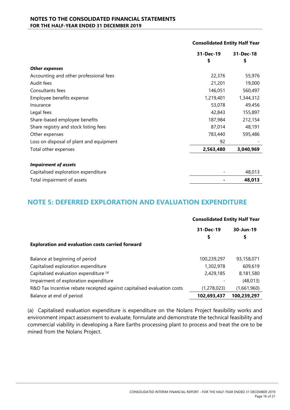#### NOTES TO THE CONSOLIDATED FINANCIAL STATEMENTS FOR THE HALF-YEAR ENDED 31 DECEMBER 2019

|                                         | 31-Dec-19 | 31-Dec-18 |
|-----------------------------------------|-----------|-----------|
|                                         | \$        | \$        |
| <b>Other expenses</b>                   |           |           |
| Accounting and other professional fees  | 22,376    | 55,976    |
| Audit fees                              | 21,201    | 19,000    |
| Consultants fees                        | 146,051   | 560,497   |
| Employee benefits expense               | 1,219,401 | 1,344,312 |
| Insurance                               | 53,078    | 49,456    |
| Legal fees                              | 42,843    | 155,897   |
| Share-based employee benefits           | 187,984   | 212,154   |
| Share registry and stock listing fees   | 87,014    | 48,191    |
| Other expenses                          | 783,440   | 595,486   |
| Loss on disposal of plant and equipment | 92        |           |
| Total other expenses                    | 2,563,480 | 3,040,969 |
| <b>Impairment of assets</b>             |           |           |
| Capitalised exploration expenditure     |           | 48,013    |
| Total impairment of assets              |           | 48,013    |

# NOTE 5: DEFERRED EXPLORATION AND EVALUATION EXPENDITURE

|                                                                         | <b>Consolidated Entity Half Year</b> |                 |
|-------------------------------------------------------------------------|--------------------------------------|-----------------|
|                                                                         | 31-Dec-19<br>\$                      | 30-Jun-19<br>\$ |
| <b>Exploration and evaluation costs carried forward</b>                 |                                      |                 |
| Balance at beginning of period                                          | 100,239,297                          | 93,158,071      |
| Capitalised exploration expenditure                                     | 1,302,978                            | 609,619         |
| Capitalised evaluation expenditure (a)                                  | 2,429,185                            | 8,181,580       |
| Impairment of exploration expenditure                                   |                                      | (48, 013)       |
| R&D Tax Incentive rebate receipted against capitalised evaluation costs | (1,278,023)                          | (1,661,960)     |
| Balance at end of period                                                | 102,693,437                          | 100,239,297     |

(a) Capitalised evaluation expenditure is expenditure on the Nolans Project feasibility works and environment impact assessment to evaluate, formulate and demonstrate the technical feasibility and commercial viability in developing a Rare Earths processing plant to process and treat the ore to be mined from the Nolans Project.

Consolidated Entity Half Year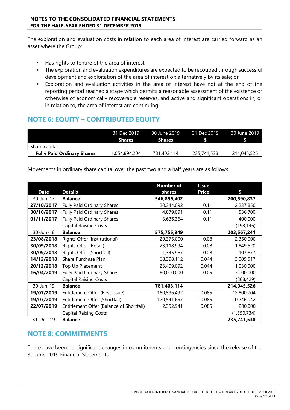The exploration and evaluation costs in relation to each area of interest are carried forward as an asset where the Group:

- Has rights to tenure of the area of interest;
- The exploration and evaluation expenditures are expected to be recouped through successful development and exploitation of the area of interest or; alternatively by its sale; or
- Exploration and evaluation activities in the area of interest have not at the end of the reporting period reached a stage which permits a reasonable assessment of the existence or otherwise of economically recoverable reserves, and active and significant operations in, or in relation to, the area of interest are continuing.

# NOTE 6: EQUITY – CONTRIBUTED EQUITY

|                                   | 31 Dec 2019<br><b>Shares</b> | <b>30 June 2019</b><br><b>Shares</b> | 31 Dec 2019 | 30 June 2019 |
|-----------------------------------|------------------------------|--------------------------------------|-------------|--------------|
| Share capital                     |                              |                                      |             |              |
| <b>Fully Paid Ordinary Shares</b> | 1,054,894,204                | 781,403,114                          | 235,741,538 | 214,045,526  |

Movements in ordinary share capital over the past two and a half years are as follows:

|             |                                          | <b>Number of</b> | <b>Issue</b> |             |
|-------------|------------------------------------------|------------------|--------------|-------------|
| <b>Date</b> | <b>Details</b>                           | shares           | <b>Price</b> | \$          |
| 30-Jun-17   | <b>Balance</b>                           | 546,896,402      |              | 200,590,837 |
| 27/10/2017  | Fully Paid Ordinary Shares               | 20,344,092       | 0.11         | 2,237,850   |
| 30/10/2017  | <b>Fully Paid Ordinary Shares</b>        | 4,879,091        | 0.11         | 536,700     |
| 01/11/2017  | Fully Paid Ordinary Shares               | 3,636,364        | 0.11         | 400,000     |
|             | <b>Capital Raising Costs</b>             |                  |              | (198, 146)  |
| 30-Jun-18   | <b>Balance</b>                           | 575,755,949      |              | 203,567,241 |
| 23/08/2018  | Rights Offer (Institutional)             | 29,375,000       | 0.08         | 2,350,000   |
| 30/09/2018  | Rights Offer (Retail)                    | 23,118,994       | 0.08         | 1,849,520   |
| 30/09/2018  | Rights Offer (Shortfall)                 | 1,345,967        | 0.08         | 107,677     |
| 14/12/2018  | Share Purchase Plan                      | 68,398,112       | 0.044        | 3,009,517   |
| 20/12/2018  | Top Up Placement                         | 23,409,092       | 0.044        | 1,030,000   |
| 16/04/2019  | Fully Paid Ordinary Shares               | 60,000,000       | 0.05         | 3,000,000   |
|             | <b>Capital Raising Costs</b>             |                  |              | (868, 429)  |
| 30-Jun-19   | <b>Balance</b>                           | 781,403,114      |              | 214,045,526 |
| 19/07/2019  | Entitlement Offer (First Issue)          | 150,596,492      | 0.085        | 12,800,704  |
| 19/07/2019  | Entitlement Offer (Shortfall)            | 120,541,657      | 0.085        | 10,246,042  |
| 22/07/2019  | Entitlement Offer (Balance of Shortfall) | 2,352,941        | 0.085        | 200,000     |
|             | <b>Capital Raising Costs</b>             |                  |              | (1,550,734) |
| 31-Dec-19   | <b>Balance</b>                           |                  |              | 235,741,538 |

# NOTE 8: COMMITMENTS

There have been no significant changes in commitments and contingencies since the release of the 30 June 2019 Financial Statements.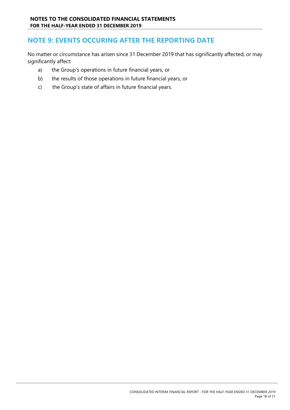# NOTE 9: EVENTS OCCURING AFTER THE REPORTING DATE

No matter or circumstance has arisen since 31 December 2019 that has significantly affected, or may significantly affect:

- a) the Group's operations in future financial years, or
- b) the results of those operations in future financial years, or
- c) the Group's state of affairs in future financial years.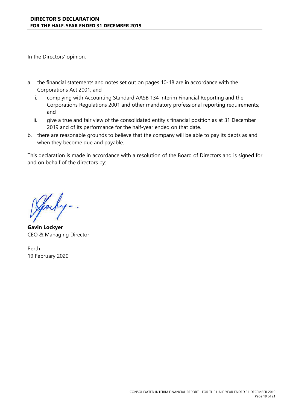In the Directors' opinion:

- a. the financial statements and notes set out on pages 10-18 are in accordance with the Corporations Act 2001; and
	- i. complying with Accounting Standard AASB 134 Interim Financial Reporting and the Corporations Regulations 2001 and other mandatory professional reporting requirements; and
	- ii. give a true and fair view of the consolidated entity's financial position as at 31 December 2019 and of its performance for the half-year ended on that date.
- b. there are reasonable grounds to believe that the company will be able to pay its debts as and when they become due and payable.

This declaration is made in accordance with a resolution of the Board of Directors and is signed for and on behalf of the directors by:

yocky -.

Gavin Lockyer CEO & Managing Director

Perth 19 February 2020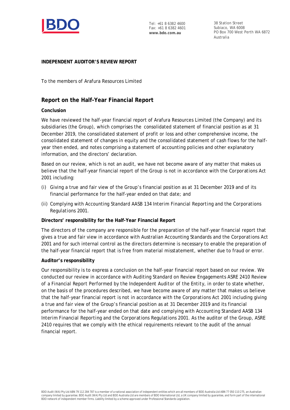

Tel: +61 8 6382 4600 Fax: +61 8 6382 4601 **www.bdo.com.au**

38 Station Street Subiaco, WA 6008 PO Box 700 West Perth WA 6872 Australia

#### **INDEPENDENT AUDITOR'S REVIEW REPORT**

To the members of Arafura Resources Limited

#### **Report on the Half-Year Financial Report**

#### **Conclusion**

We have reviewed the half-year financial report of Arafura Resources Limited (the Company) and its subsidiaries (the Group), which comprises the consolidated statement of financial position as at 31 December 2019, the consolidated statement of profit or loss and other comprehensive income, the consolidated statement of changes in equity and the consolidated statement of cash flows for the halfyear then ended, and notes comprising a statement of accounting policies and other explanatory information, and the directors' declaration.

Based on our review, which is not an audit, we have not become aware of any matter that makes us believe that the half-year financial report of the Group is not in accordance with the *Corporations Act 2001* including:

- (i) Giving a true and fair view of the Group's financial position as at 31 December 2019 and of its financial performance for the half-year ended on that date; and
- (ii) Complying with Accounting Standard AASB 134 *Interim Financial Reporting* and the *Corporations Regulations 2001.*

#### **Directors' responsibility for the Half-Year Financial Report**

The directors of the company are responsible for the preparation of the half-year financial report that gives a true and fair view in accordance with Australian Accounting Standards and the *Corporations Act 2001* and for such internal control as the directors determine is necessary to enable the preparation of the half-year financial report that is free from material misstatement, whether due to fraud or error.

#### **Auditor's responsibility**

Our responsibility is to express a conclusion on the half-year financial report based on our review. We conducted our review in accordance with Auditing Standard on Review Engagements ASRE 2410 *Review of a Financial Report Performed by the Independent Auditor of the Entity*, in order to state whether, on the basis of the procedures described, we have become aware of any matter that makes us believe that the half-year financial report is not in accordance with the *Corporations Act 2001* including giving a true and fair view of the Group's financial position as at 31 December 2019 and its financial performance for the half-year ended on that date and complying with Accounting Standard AASB 134 *Interim Financial Reporting* and the *Corporations Regulations 2001*. As the auditor of the Group, ASRE 2410 requires that we comply with the ethical requirements relevant to the audit of the annual financial report.